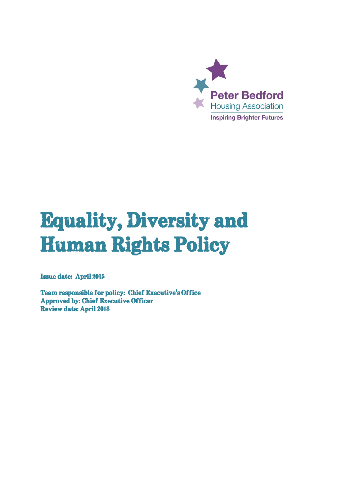

# **Equality, Diversity and Human Rights Policy**

**Issue date: April 2015** 

**Team responsible for policy: Chief Executive's Office Approved by: Chief Executive Officer Review date: April 2018**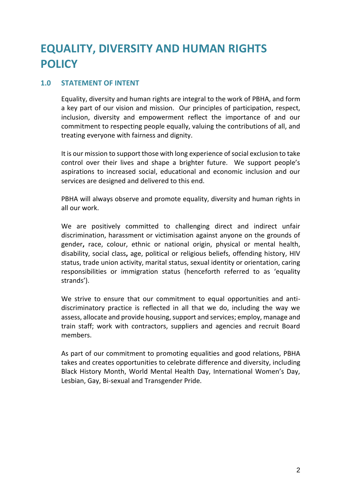# **EQUALITY, DIVERSITY AND HUMAN RIGHTS POLICY**

## **1.0 STATEMENT OF INTENT**

Equality, diversity and human rights are integral to the work of PBHA, and form a key part of our vision and mission. Our principles of participation, respect, inclusion, diversity and empowerment reflect the importance of and our commitment to respecting people equally, valuing the contributions of all, and treating everyone with fairness and dignity.

It is our mission to support those with long experience of social exclusion to take control over their lives and shape a brighter future. We support people's aspirations to increased social, educational and economic inclusion and our services are designed and delivered to this end.

PBHA will always observe and promote equality, diversity and human rights in all our work.

We are positively committed to challenging direct and indirect unfair discrimination, harassment or victimisation against anyone on the grounds of gender**,** race, colour, ethnic or national origin, physical or mental health, disability, social class**,** age, political or religious beliefs, offending history, HIV status, trade union activity, marital status, sexual identity or orientation, caring responsibilities or immigration status (henceforth referred to as 'equality strands').

We strive to ensure that our commitment to equal opportunities and antidiscriminatory practice is reflected in all that we do, including the way we assess, allocate and provide housing, support and services; employ, manage and train staff; work with contractors, suppliers and agencies and recruit Board members.

As part of our commitment to promoting equalities and good relations, PBHA takes and creates opportunities to celebrate difference and diversity, including Black History Month, World Mental Health Day, International Women's Day, Lesbian, Gay, Bi-sexual and Transgender Pride.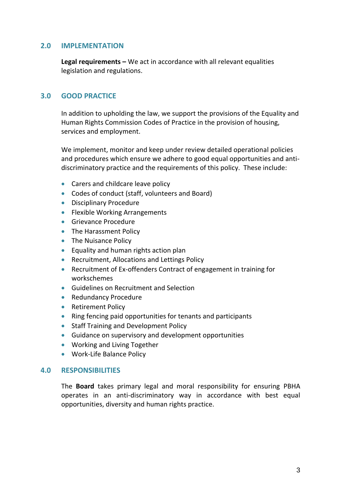#### **2.0 IMPLEMENTATION**

**Legal requirements –** We act in accordance with all relevant equalities legislation and regulations.

#### **3.0 GOOD PRACTICE**

In addition to upholding the law, we support the provisions of the Equality and Human Rights Commission Codes of Practice in the provision of housing, services and employment.

We implement, monitor and keep under review detailed operational policies and procedures which ensure we adhere to good equal opportunities and antidiscriminatory practice and the requirements of this policy. These include:

- Carers and childcare leave policy
- Codes of conduct (staff, volunteers and Board)
- **•** Disciplinary Procedure
- Flexible Working Arrangements
- **Grievance Procedure**
- The Harassment Policy
- The Nuisance Policy
- **Equality and human rights action plan**
- Recruitment, Allocations and Lettings Policy
- Recruitment of Ex-offenders Contract of engagement in training for workschemes
- Guidelines on Recruitment and Selection
- Redundancy Procedure
- Retirement Policy
- Ring fencing paid opportunities for tenants and participants
- Staff Training and Development Policy
- Guidance on supervisory and development opportunities
- Working and Living Together
- Work-Life Balance Policy

#### **4.0 RESPONSIBILITIES**

The **Board** takes primary legal and moral responsibility for ensuring PBHA operates in an anti-discriminatory way in accordance with best equal opportunities, diversity and human rights practice.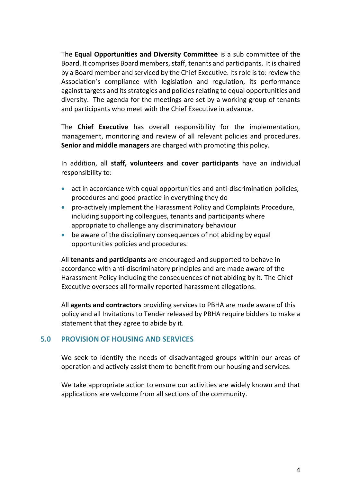The **Equal Opportunities and Diversity Committee** is a sub committee of the Board. It comprises Board members, staff, tenants and participants. It is chaired by a Board member and serviced by the Chief Executive. Its role is to: review the Association's compliance with legislation and regulation, its performance against targets and its strategies and policies relating to equal opportunities and diversity. The agenda for the meetings are set by a working group of tenants and participants who meet with the Chief Executive in advance.

The **Chief Executive** has overall responsibility for the implementation, management, monitoring and review of all relevant policies and procedures. **Senior and middle managers** are charged with promoting this policy.

In addition, all **staff, volunteers and cover participants** have an individual responsibility to:

- act in accordance with equal opportunities and anti-discrimination policies, procedures and good practice in everything they do
- pro-actively implement the Harassment Policy and Complaints Procedure, including supporting colleagues, tenants and participants where appropriate to challenge any discriminatory behaviour
- be aware of the disciplinary consequences of not abiding by equal opportunities policies and procedures.

All **tenants and participants** are encouraged and supported to behave in accordance with anti-discriminatory principles and are made aware of the Harassment Policy including the consequences of not abiding by it. The Chief Executive oversees all formally reported harassment allegations.

All **agents and contractors** providing services to PBHA are made aware of this policy and all Invitations to Tender released by PBHA require bidders to make a statement that they agree to abide by it.

## **5.0 PROVISION OF HOUSING AND SERVICES**

We seek to identify the needs of disadvantaged groups within our areas of operation and actively assist them to benefit from our housing and services.

We take appropriate action to ensure our activities are widely known and that applications are welcome from all sections of the community.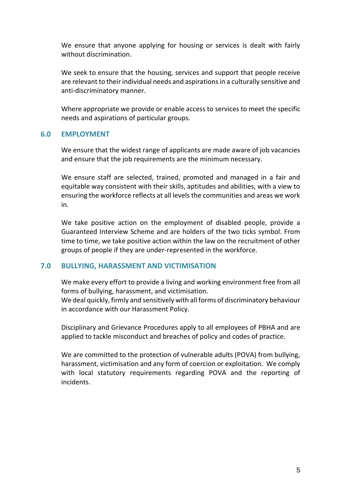We ensure that anyone applying for housing or services is dealt with fairly without discrimination.

We seek to ensure that the housing, services and support that people receive are relevant to their individual needs and aspirations in a culturally sensitive and anti-discriminatory manner.

Where appropriate we provide or enable access to services to meet the specific needs and aspirations of particular groups.

## **6.0 EMPLOYMENT**

We ensure that the widest range of applicants are made aware of job vacancies and ensure that the job requirements are the minimum necessary.

We ensure staff are selected, trained, promoted and managed in a fair and equitable way consistent with their skills, aptitudes and abilities, with a view to ensuring the workforce reflects at all levels the communities and areas we work in.

We take positive action on the employment of disabled people, provide a Guaranteed Interview Scheme and are holders of the two ticks symbol. From time to time, we take positive action within the law on the recruitment of other groups of people if they are under-represented in the workforce.

#### **7.0 BULLYING, HARASSMENT AND VICTIMISATION**

We make every effort to provide a living and working environment free from all forms of bullying, harassment, and victimisation.

We deal quickly, firmly and sensitively with all forms of discriminatory behaviour in accordance with our Harassment Policy.

Disciplinary and Grievance Procedures apply to all employees of PBHA and are applied to tackle misconduct and breaches of policy and codes of practice.

We are committed to the protection of vulnerable adults (POVA) from bullying, harassment, victimisation and any form of coercion or exploitation. We comply with local statutory requirements regarding POVA and the reporting of incidents.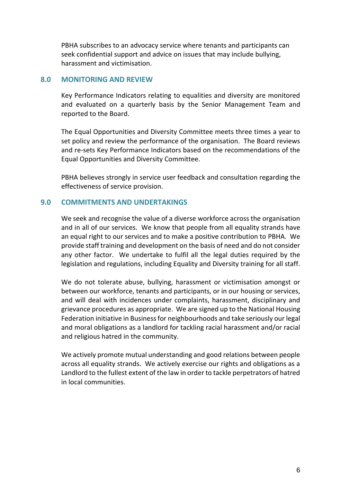PBHA subscribes to an advocacy service where tenants and participants can seek confidential support and advice on issues that may include bullying, harassment and victimisation.

#### **8.0 MONITORING AND REVIEW**

Key Performance Indicators relating to equalities and diversity are monitored and evaluated on a quarterly basis by the Senior Management Team and reported to the Board.

The Equal Opportunities and Diversity Committee meets three times a year to set policy and review the performance of the organisation. The Board reviews and re-sets Key Performance Indicators based on the recommendations of the Equal Opportunities and Diversity Committee.

PBHA believes strongly in service user feedback and consultation regarding the effectiveness of service provision.

## **9.0 COMMITMENTS AND UNDERTAKINGS**

We seek and recognise the value of a diverse workforce across the organisation and in all of our services. We know that people from all equality strands have an equal right to our services and to make a positive contribution to PBHA. We provide staff training and development on the basis of need and do not consider any other factor. We undertake to fulfil all the legal duties required by the legislation and regulations, including Equality and Diversity training for all staff.

We do not tolerate abuse, bullying, harassment or victimisation amongst or between our workforce, tenants and participants, or in our housing or services, and will deal with incidences under complaints, harassment, disciplinary and grievance procedures as appropriate. We are signed up to the National Housing Federation initiative in Business for neighbourhoods and take seriously our legal and moral obligations as a landlord for tackling racial harassment and/or racial and religious hatred in the community.

We actively promote mutual understanding and good relations between people across all equality strands. We actively exercise our rights and obligations as a Landlord to the fullest extent of the law in order to tackle perpetrators of hatred in local communities.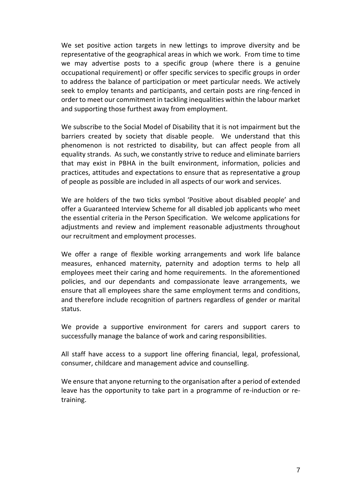We set positive action targets in new lettings to improve diversity and be representative of the geographical areas in which we work. From time to time we may advertise posts to a specific group (where there is a genuine occupational requirement) or offer specific services to specific groups in order to address the balance of participation or meet particular needs. We actively seek to employ tenants and participants, and certain posts are ring-fenced in order to meet our commitment in tackling inequalities within the labour market and supporting those furthest away from employment.

We subscribe to the Social Model of Disability that it is not impairment but the barriers created by society that disable people. We understand that this phenomenon is not restricted to disability, but can affect people from all equality strands. As such, we constantly strive to reduce and eliminate barriers that may exist in PBHA in the built environment, information, policies and practices, attitudes and expectations to ensure that as representative a group of people as possible are included in all aspects of our work and services.

We are holders of the two ticks symbol 'Positive about disabled people' and offer a Guaranteed Interview Scheme for all disabled job applicants who meet the essential criteria in the Person Specification. We welcome applications for adjustments and review and implement reasonable adjustments throughout our recruitment and employment processes.

We offer a range of flexible working arrangements and work life balance measures, enhanced maternity, paternity and adoption terms to help all employees meet their caring and home requirements. In the aforementioned policies, and our dependants and compassionate leave arrangements, we ensure that all employees share the same employment terms and conditions, and therefore include recognition of partners regardless of gender or marital status.

We provide a supportive environment for carers and support carers to successfully manage the balance of work and caring responsibilities.

All staff have access to a support line offering financial, legal, professional, consumer, childcare and management advice and counselling.

We ensure that anyone returning to the organisation after a period of extended leave has the opportunity to take part in a programme of re-induction or retraining.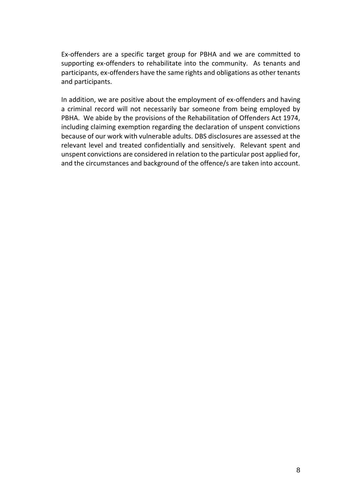Ex-offenders are a specific target group for PBHA and we are committed to supporting ex-offenders to rehabilitate into the community. As tenants and participants, ex-offenders have the same rights and obligations as other tenants and participants.

In addition, we are positive about the employment of ex-offenders and having a criminal record will not necessarily bar someone from being employed by PBHA. We abide by the provisions of the Rehabilitation of Offenders Act 1974, including claiming exemption regarding the declaration of unspent convictions because of our work with vulnerable adults. DBS disclosures are assessed at the relevant level and treated confidentially and sensitively. Relevant spent and unspent convictions are considered in relation to the particular post applied for, and the circumstances and background of the offence/s are taken into account.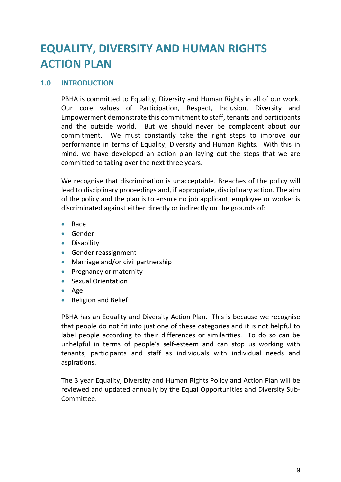# **EQUALITY, DIVERSITY AND HUMAN RIGHTS ACTION PLAN**

#### **1.0 INTRODUCTION**

PBHA is committed to Equality, Diversity and Human Rights in all of our work. Our core values of Participation, Respect, Inclusion, Diversity and Empowerment demonstrate this commitment to staff, tenants and participants and the outside world. But we should never be complacent about our commitment. We must constantly take the right steps to improve our performance in terms of Equality, Diversity and Human Rights. With this in mind, we have developed an action plan laying out the steps that we are committed to taking over the next three years.

We recognise that discrimination is unacceptable. Breaches of the policy will lead to disciplinary proceedings and, if appropriate, disciplinary action. The aim of the policy and the plan is to ensure no job applicant, employee or worker is discriminated against either directly or indirectly on the grounds of:

- Race
- **•** Gender
- **•** Disability
- **Gender reassignment**
- Marriage and/or civil partnership
- **•** Pregnancy or maternity
- Sexual Orientation
- Age
- Religion and Belief

PBHA has an Equality and Diversity Action Plan. This is because we recognise that people do not fit into just one of these categories and it is not helpful to label people according to their differences or similarities. To do so can be unhelpful in terms of people's self-esteem and can stop us working with tenants, participants and staff as individuals with individual needs and aspirations.

The 3 year Equality, Diversity and Human Rights Policy and Action Plan will be reviewed and updated annually by the Equal Opportunities and Diversity Sub-Committee.